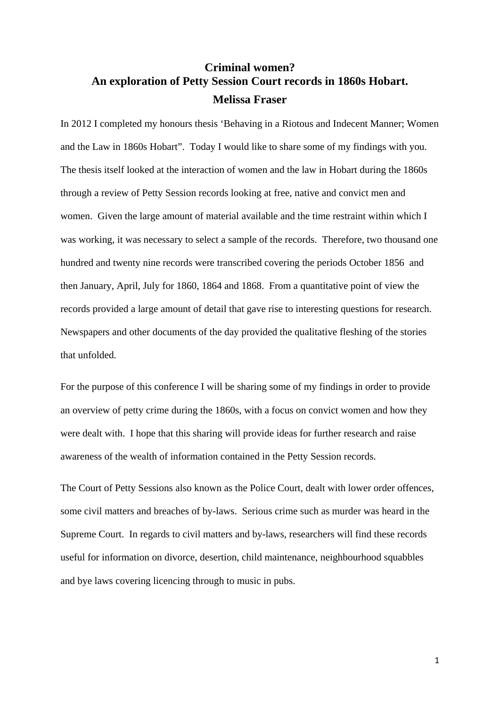# **Criminal women? An exploration of Petty Session Court records in 1860s Hobart. Melissa Fraser**

In 2012 I completed my honours thesis 'Behaving in a Riotous and Indecent Manner; Women and the Law in 1860s Hobart". Today I would like to share some of my findings with you. The thesis itself looked at the interaction of women and the law in Hobart during the 1860s through a review of Petty Session records looking at free, native and convict men and women. Given the large amount of material available and the time restraint within which I was working, it was necessary to select a sample of the records. Therefore, two thousand one hundred and twenty nine records were transcribed covering the periods October 1856 and then January, April, July for 1860, 1864 and 1868. From a quantitative point of view the records provided a large amount of detail that gave rise to interesting questions for research. Newspapers and other documents of the day provided the qualitative fleshing of the stories that unfolded.

For the purpose of this conference I will be sharing some of my findings in order to provide an overview of petty crime during the 1860s, with a focus on convict women and how they were dealt with. I hope that this sharing will provide ideas for further research and raise awareness of the wealth of information contained in the Petty Session records.

The Court of Petty Sessions also known as the Police Court, dealt with lower order offences, some civil matters and breaches of by-laws. Serious crime such as murder was heard in the Supreme Court. In regards to civil matters and by-laws, researchers will find these records useful for information on divorce, desertion, child maintenance, neighbourhood squabbles and bye laws covering licencing through to music in pubs.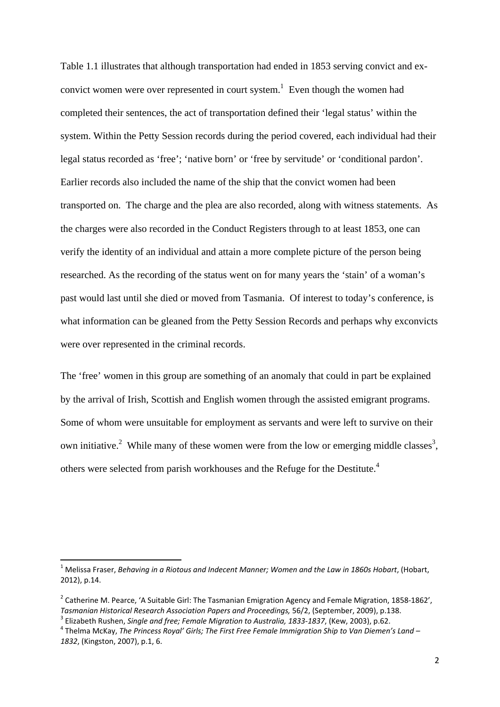Table 1.1 illustrates that although transportation had ended in 1853 serving convict and exconvict women were over represented in court system.<sup>1</sup> Even though the women had completed their sentences, the act of transportation defined their 'legal status' within the system. Within the Petty Session records during the period covered, each individual had their legal status recorded as 'free'; 'native born' or 'free by servitude' or 'conditional pardon'. Earlier records also included the name of the ship that the convict women had been transported on. The charge and the plea are also recorded, along with witness statements. As the charges were also recorded in the Conduct Registers through to at least 1853, one can verify the identity of an individual and attain a more complete picture of the person being researched. As the recording of the status went on for many years the 'stain' of a woman's past would last until she died or moved from Tasmania. Of interest to today's conference, is what information can be gleaned from the Petty Session Records and perhaps why exconvicts were over represented in the criminal records.

The 'free' women in this group are something of an anomaly that could in part be explained by the arrival of Irish, Scottish and English women through the assisted emigrant programs. Some of whom were unsuitable for employment as servants and were left to survive on their own initiative.<sup>2</sup> While many of these women were from the low or emerging middle classes<sup>3</sup>, others were selected from parish workhouses and the Refuge for the Destitute.<sup>4</sup>

<sup>1</sup> Melissa Fraser, *Behaving in a Riotous and Indecent Manner; Women and the Law in 1860s Hobart*, (Hobart, 2012), p.14.

<sup>&</sup>lt;sup>2</sup> Catherine M. Pearce, 'A Suitable Girl: The Tasmanian Emigration Agency and Female Migration, 1858-1862', Tasmanian Historical Research Association Papers and Proceedings, 56/2, (September, 2009), p.138.

 $^3$  Elizabeth Rushen, Single and free; Female Migration to Australia, 1833-1837, (Kew, 2003), p.62.<br><sup>4</sup> Thelma McKay, *The Princess Royal' Girls; The First Free Female Immigration Ship to Van Diemen's Land –* 

*<sup>1832</sup>*, (Kingston, 2007), p.1, 6.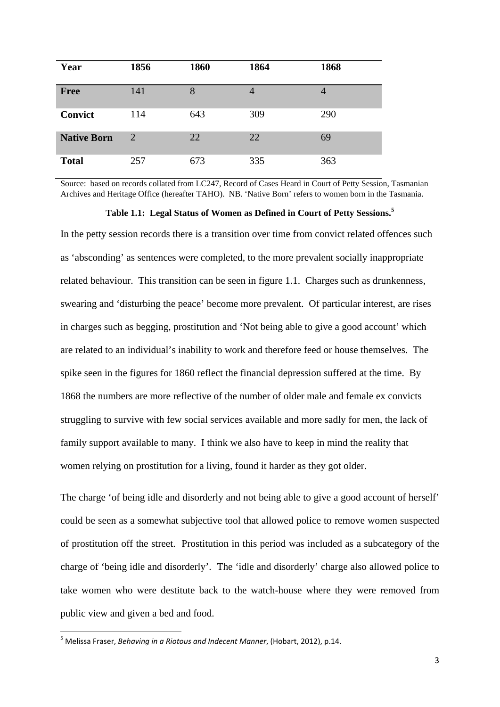| Year               | 1856 | 1860 | 1864           | 1868 |
|--------------------|------|------|----------------|------|
| <b>Free</b>        | 141  | 8    | $\overline{4}$ |      |
| Convict            | 114  | 643  | 309            | 290  |
| <b>Native Born</b> | 2    | 22   | 22             | 69   |
| <b>Total</b>       | 257  | 673  | 335            | 363  |

Source: based on records collated from LC247, Record of Cases Heard in Court of Petty Session, Tasmanian Archives and Heritage Office (hereafter TAHO). NB. 'Native Born' refers to women born in the Tasmania.

#### **Table 1.1: Legal Status of Women as Defined in Court of Petty Sessions.<sup>5</sup>**

In the petty session records there is a transition over time from convict related offences such as 'absconding' as sentences were completed, to the more prevalent socially inappropriate related behaviour. This transition can be seen in figure 1.1. Charges such as drunkenness, swearing and 'disturbing the peace' become more prevalent. Of particular interest, are rises in charges such as begging, prostitution and 'Not being able to give a good account' which are related to an individual's inability to work and therefore feed or house themselves. The spike seen in the figures for 1860 reflect the financial depression suffered at the time. By 1868 the numbers are more reflective of the number of older male and female ex convicts struggling to survive with few social services available and more sadly for men, the lack of family support available to many. I think we also have to keep in mind the reality that women relying on prostitution for a living, found it harder as they got older.

The charge 'of being idle and disorderly and not being able to give a good account of herself' could be seen as a somewhat subjective tool that allowed police to remove women suspected of prostitution off the street. Prostitution in this period was included as a subcategory of the charge of 'being idle and disorderly'. The 'idle and disorderly' charge also allowed police to take women who were destitute back to the watch-house where they were removed from public view and given a bed and food.

<sup>5</sup> Melissa Fraser, *Behaving in a Riotous and Indecent Manner*, (Hobart, 2012), p.14.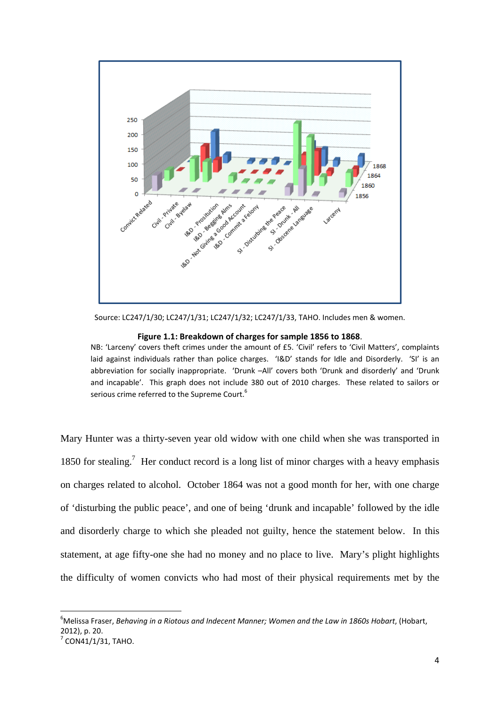

Source: LC247/1/30; LC247/1/31; LC247/1/32; LC247/1/33, TAHO. Includes men & women.

#### **Figure 1.1: Breakdown of charges for sample 1856 to 1868**.

NB: 'Larceny' covers theft crimes under the amount of £5. 'Civil' refers to 'Civil Matters', complaints laid against individuals rather than police charges. 'I&D' stands for Idle and Disorderly. 'SI' is an abbreviation for socially inappropriate. 'Drunk –All' covers both 'Drunk and disorderly' and 'Drunk and incapable'. This graph does not include 380 out of 2010 charges. These related to sailors or serious crime referred to the Supreme Court.<sup>6</sup>

Mary Hunter was a thirty-seven year old widow with one child when she was transported in 1850 for stealing.<sup>7</sup> Her conduct record is a long list of minor charges with a heavy emphasis on charges related to alcohol. October 1864 was not a good month for her, with one charge of 'disturbing the public peace', and one of being 'drunk and incapable' followed by the idle and disorderly charge to which she pleaded not guilty, hence the statement below. In this statement, at age fifty-one she had no money and no place to live. Mary's plight highlights the difficulty of women convicts who had most of their physical requirements met by the

<sup>6</sup> Melissa Fraser, *Behaving in a Riotous and Indecent Manner; Women and the Law in 1860s Hobart*, (Hobart, 2012), p. 20.  $7^7$  CON41/1/31, TAHO.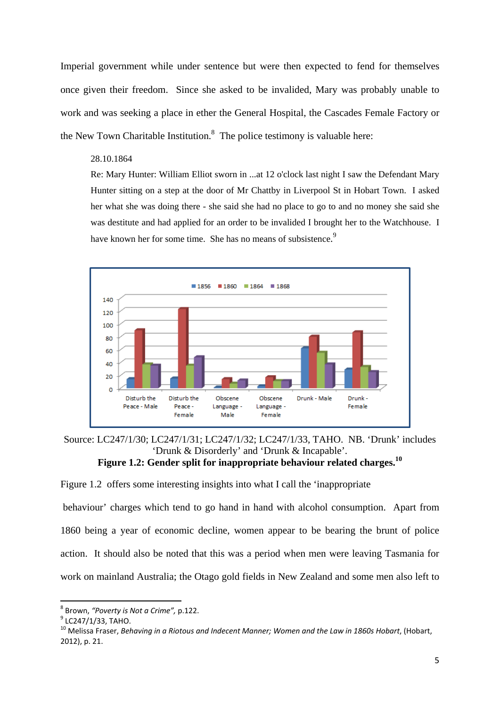Imperial government while under sentence but were then expected to fend for themselves once given their freedom. Since she asked to be invalided, Mary was probably unable to work and was seeking a place in ether the General Hospital, the Cascades Female Factory or the New Town Charitable Institution. $<sup>8</sup>$  The police testimony is valuable here:</sup>

## 28.10.1864

Re: Mary Hunter: William Elliot sworn in ...at 12 o'clock last night I saw the Defendant Mary Hunter sitting on a step at the door of Mr Chattby in Liverpool St in Hobart Town. I asked her what she was doing there - she said she had no place to go to and no money she said she was destitute and had applied for an order to be invalided I brought her to the Watchhouse. I have known her for some time. She has no means of subsistence.<sup>9</sup>



Source: LC247/1/30; LC247/1/31; LC247/1/32; LC247/1/33, TAHO. NB. 'Drunk' includes 'Drunk & Disorderly' and 'Drunk & Incapable'.

# **Figure 1.2: Gender split for inappropriate behaviour related charges.10**

Figure 1.2 offers some interesting insights into what I call the 'inappropriate

 behaviour' charges which tend to go hand in hand with alcohol consumption. Apart from 1860 being a year of economic decline, women appear to be bearing the brunt of police action. It should also be noted that this was a period when men were leaving Tasmania for work on mainland Australia; the Otago gold fields in New Zealand and some men also left to

 $^8$  Brown, "Poverty is Not a Crime", p.122.<br><sup>9</sup> LC247/1/33, TAHO.<br><sup>10</sup> Melissa Fraser, *Behaving in a Riotous and Indecent Manner; Women and the Law in 1860s Hobart, (Hobart,* 2012), p. 21.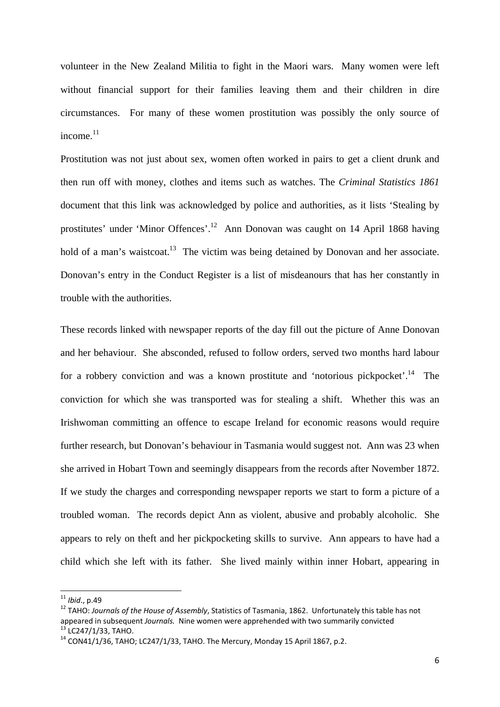volunteer in the New Zealand Militia to fight in the Maori wars. Many women were left without financial support for their families leaving them and their children in dire circumstances. For many of these women prostitution was possibly the only source of income. $11$ 

Prostitution was not just about sex, women often worked in pairs to get a client drunk and then run off with money, clothes and items such as watches. The *Criminal Statistics 1861*  document that this link was acknowledged by police and authorities, as it lists 'Stealing by prostitutes' under 'Minor Offences'.12 Ann Donovan was caught on 14 April 1868 having hold of a man's waistcoat.<sup>13</sup> The victim was being detained by Donovan and her associate. Donovan's entry in the Conduct Register is a list of misdeanours that has her constantly in trouble with the authorities.

These records linked with newspaper reports of the day fill out the picture of Anne Donovan and her behaviour. She absconded, refused to follow orders, served two months hard labour for a robbery conviction and was a known prostitute and 'notorious pickpocket'.<sup>14</sup> The conviction for which she was transported was for stealing a shift. Whether this was an Irishwoman committing an offence to escape Ireland for economic reasons would require further research, but Donovan's behaviour in Tasmania would suggest not. Ann was 23 when she arrived in Hobart Town and seemingly disappears from the records after November 1872. If we study the charges and corresponding newspaper reports we start to form a picture of a troubled woman. The records depict Ann as violent, abusive and probably alcoholic. She appears to rely on theft and her pickpocketing skills to survive. Ann appears to have had a child which she left with its father. She lived mainly within inner Hobart, appearing in

<sup>&</sup>lt;sup>11</sup> *Ibid.*, p.49<br><sup>12</sup> TAHO: *Journals of the House of Assembly*, Statistics of Tasmania, 1862. Unfortunately this table has not appeared in subsequent *Journals*. Nine women were apprehended with two summarily convicted <sup>13</sup> LC247/1/33, TAHO. 14 CON41/1/36, TAHO; LC247/1/33, TAHO. The Mercury, Monday 15 April 1867, p.2.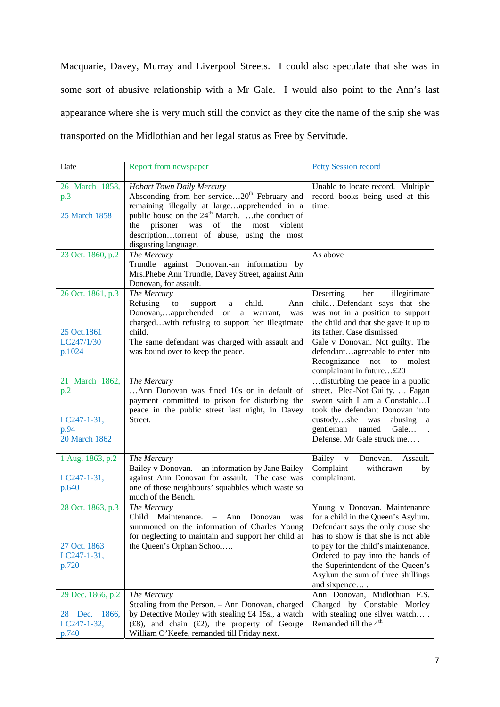Macquarie, Davey, Murray and Liverpool Streets. I could also speculate that she was in some sort of abusive relationship with a Mr Gale. I would also point to the Ann's last appearance where she is very much still the convict as they cite the name of the ship she was transported on the Midlothian and her legal status as Free by Servitude.

| Date                                                            | Report from newspaper                                                                                                                                                                                                                                                                                                             | <b>Petty Session record</b>                                                                                                                                                                                                                                                                                          |
|-----------------------------------------------------------------|-----------------------------------------------------------------------------------------------------------------------------------------------------------------------------------------------------------------------------------------------------------------------------------------------------------------------------------|----------------------------------------------------------------------------------------------------------------------------------------------------------------------------------------------------------------------------------------------------------------------------------------------------------------------|
| 26 March 1858,<br>p.3<br>25 March 1858                          | <b>Hobart Town Daily Mercury</b><br>Absconding from her service20 <sup>th</sup> February and<br>remaining illegally at largeapprehended in a<br>public house on the $24th$ March. the conduct of<br>prisoner<br>was<br>the<br>of<br>most<br>violent<br>the<br>descriptiontorrent of abuse, using the most<br>disgusting language. | Unable to locate record. Multiple<br>record books being used at this<br>time.                                                                                                                                                                                                                                        |
| 23 Oct. 1860, p.2                                               | The Mercury<br>Trundle against Donovan.-an information by<br>Mrs.Phebe Ann Trundle, Davey Street, against Ann<br>Donovan, for assault.                                                                                                                                                                                            | As above                                                                                                                                                                                                                                                                                                             |
| 26 Oct. 1861, p.3<br>25 Oct.1861<br>LC247/1/30<br>p.1024        | The Mercury<br>Refusing<br>to<br>child.<br>support<br>Ann<br>a<br>Donovan,apprehended on<br>a warrant,<br>was<br>chargedwith refusing to support her illegtimate<br>child.<br>The same defendant was charged with assault and<br>was bound over to keep the peace.                                                                | Deserting<br>her<br>illegitimate<br>childDefendant says that she<br>was not in a position to support<br>the child and that she gave it up to<br>its father. Case dismissed<br>Gale v Donovan. Not guilty. The<br>defendantagreeable to enter into<br>Recognizance<br>not<br>molest<br>to<br>complainant in future£20 |
| 21 March 1862,<br>p.2<br>$LC247-1-31,$<br>p.94<br>20 March 1862 | The Mercury<br>Ann Donovan was fined 10s or in default of<br>payment committed to prison for disturbing the<br>peace in the public street last night, in Davey<br>Street.                                                                                                                                                         | disturbing the peace in a public<br>street. Plea-Not Guilty.  Fagan<br>sworn saith I am a ConstableI<br>took the defendant Donovan into<br>custodyshe was<br>abusing a<br>gentleman named<br>Gale<br>$\ddot{\phantom{a}}$<br>Defense. Mr Gale struck me                                                              |
| 1 Aug. 1863, p.2<br>$LC247-1-31,$<br>p.640                      | The Mercury<br>Bailey v Donovan. - an information by Jane Bailey<br>against Ann Donovan for assault. The case was<br>one of those neighbours' squabbles which waste so<br>much of the Bench.                                                                                                                                      | Bailey v Donovan.<br>Assault.<br>Complaint<br>withdrawn<br>by<br>complainant.                                                                                                                                                                                                                                        |
| 28 Oct. 1863, p.3<br>27 Oct. 1863<br>$LC247-1-31,$<br>p.720     | The Mercury<br>Child<br>Maintenance. – Ann<br>Donovan<br>was<br>summoned on the information of Charles Young<br>for neglecting to maintain and support her child at<br>the Queen's Orphan School                                                                                                                                  | Young v Donovan. Maintenance<br>for a child in the Queen's Asylum.<br>Defendant says the only cause she<br>has to show is that she is not able<br>to pay for the child's maintenance.<br>Ordered to pay into the hands of<br>the Superintendent of the Queen's<br>Asylum the sum of three shillings<br>and sixpence  |
| 29 Dec. 1866, p.2<br>28 Dec. 1866,<br>LC247-1-32,<br>p.740      | The Mercury<br>Stealing from the Person. - Ann Donovan, charged<br>by Detective Morley with stealing £4 15s., a watch<br>$(f28)$ , and chain $(f2)$ , the property of George<br>William O'Keefe, remanded till Friday next.                                                                                                       | Ann Donovan, Midlothian F.S.<br>Charged by Constable Morley<br>with stealing one silver watch<br>Remanded till the 4 <sup>th</sup>                                                                                                                                                                                   |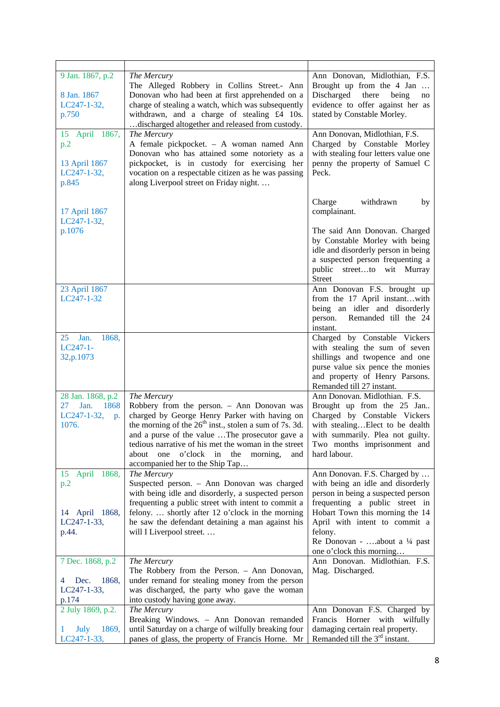| 9 Jan. 1867, p.2<br>8 Jan. 1867<br>LC247-1-32,<br>p.750               | The Mercury<br>The Alleged Robbery in Collins Street.- Ann<br>Donovan who had been at first apprehended on a<br>charge of stealing a watch, which was subsequently<br>withdrawn, and a charge of stealing £4 10s.<br>discharged altogether and released from custody.                                                                                                 | Ann Donovan, Midlothian, F.S.<br>Brought up from the 4 Jan<br>Discharged<br>there<br>being<br>no<br>evidence to offer against her as<br>stated by Constable Morley.                                               |
|-----------------------------------------------------------------------|-----------------------------------------------------------------------------------------------------------------------------------------------------------------------------------------------------------------------------------------------------------------------------------------------------------------------------------------------------------------------|-------------------------------------------------------------------------------------------------------------------------------------------------------------------------------------------------------------------|
| 1867,<br>15<br>April<br>p.2<br>13 April 1867<br>LC247-1-32,<br>p.845  | The Mercury<br>A female pickpocket. - A woman named Ann<br>Donovan who has attained some notoriety as a<br>pickpocket, is in custody for exercising her<br>vocation on a respectable citizen as he was passing<br>along Liverpool street on Friday night.                                                                                                             | Ann Donovan, Midlothian, F.S.<br>Charged by Constable Morley<br>with stealing four letters value one<br>penny the property of Samuel C<br>Peck.                                                                   |
| 17 April 1867<br>LC247-1-32,                                          |                                                                                                                                                                                                                                                                                                                                                                       | Charge<br>withdrawn<br>by<br>complainant.                                                                                                                                                                         |
| p.1076                                                                |                                                                                                                                                                                                                                                                                                                                                                       | The said Ann Donovan. Charged<br>by Constable Morley with being<br>idle and disorderly person in being<br>a suspected person frequenting a<br>public streetto wit Murray<br>Street                                |
| 23 April 1867<br>LC247-1-32                                           |                                                                                                                                                                                                                                                                                                                                                                       | Ann Donovan F.S. brought up<br>from the 17 April instantwith<br>being an idler and disorderly<br>person.<br>Remanded till the 24<br>instant.                                                                      |
| Jan.<br>1868,<br>25<br>$LC247-1-$<br>32,p.1073                        |                                                                                                                                                                                                                                                                                                                                                                       | Charged by Constable Vickers<br>with stealing the sum of seven<br>shillings and twopence and one<br>purse value six pence the monies<br>and property of Henry Parsons.<br>Remanded till 27 instant.               |
| 28 Jan. 1868, p.2<br>27<br>Jan.<br>1868<br>LC247-1-32,<br>p.<br>1076. | The Mercury<br>Robbery from the person. - Ann Donovan was<br>charged by George Henry Parker with having on<br>the morning of the $26th$ inst., stolen a sum of 7s. 3d.<br>and a purse of the value The prosecutor gave a<br>tedious narrative of his met the woman in the street<br>o'clock in the morning,<br>about<br>one<br>and<br>accompanied her to the Ship Tap | Ann Donovan. Midlothian. F.S.<br>Brought up from the 25 Jan<br>Charged by Constable Vickers<br>with stealingElect to be dealth<br>with summarily. Plea not guilty.<br>Two months imprisonment and<br>hard labour. |
| 15 April 1868,<br>p.2                                                 | The Mercury<br>Suspected person. - Ann Donovan was charged<br>with being idle and disorderly, a suspected person<br>frequenting a public street with intent to commit a                                                                                                                                                                                               | Ann Donovan. F.S. Charged by<br>with being an idle and disorderly<br>person in being a suspected person<br>frequenting a public street in                                                                         |
| 14 April 1868,<br>LC247-1-33,<br>p.44.                                | felony.  shortly after 12 o'clock in the morning<br>he saw the defendant detaining a man against his<br>will I Liverpool street                                                                                                                                                                                                                                       | Hobart Town this morning the 14<br>April with intent to commit a<br>felony.<br>Re Donovan - about a 1/4 past<br>one o'clock this morning                                                                          |
| 7 Dec. 1868, p.2<br>1868,<br>Dec.<br>4<br>$LC247-1-33,$<br>p.174      | The Mercury<br>The Robbery from the Person. - Ann Donovan,<br>under remand for stealing money from the person<br>was discharged, the party who gave the woman<br>into custody having gone away.                                                                                                                                                                       | Ann Donovan. Midlothian. F.S.<br>Mag. Discharged.                                                                                                                                                                 |
| 2 July 1869, p.2.<br>July<br>1869,<br>1<br>LC247-1-33,                | The Mercury<br>Breaking Windows. - Ann Donovan remanded<br>until Saturday on a charge of wilfully breaking four<br>panes of glass, the property of Francis Horne. Mr                                                                                                                                                                                                  | Ann Donovan F.S. Charged by<br>Francis<br>Horner with<br>wilfully<br>damaging certain real property.<br>Remanded till the 3 <sup>rd</sup> instant.                                                                |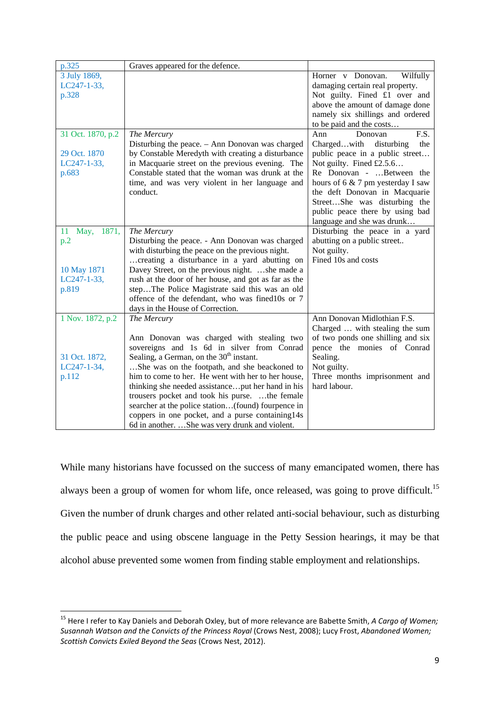| p.325               | Graves appeared for the defence.                     |                                   |
|---------------------|------------------------------------------------------|-----------------------------------|
| 3 July 1869,        |                                                      | Horner v Donovan.<br>Wilfully     |
| LC247-1-33,         |                                                      | damaging certain real property.   |
| p.328               |                                                      | Not guilty. Fined £1 over and     |
|                     |                                                      | above the amount of damage done   |
|                     |                                                      | namely six shillings and ordered  |
|                     |                                                      | to be paid and the costs          |
| 31 Oct. 1870, p.2   | The Mercury                                          | Ann<br>Donovan<br>F.S.            |
|                     | Disturbing the peace. - Ann Donovan was charged      | the<br>Chargedwith<br>disturbing  |
| 29 Oct. 1870        | by Constable Meredyth with creating a disturbance    | public peace in a public street   |
| LC247-1-33,         | in Macquarie street on the previous evening. The     | Not guilty. Fined £2.5.6          |
| p.683               | Constable stated that the woman was drunk at the     | Re Donovan - Between the          |
|                     | time, and was very violent in her language and       | hours of 6 & 7 pm yesterday I saw |
|                     | conduct.                                             | the deft Donovan in Macquarie     |
|                     |                                                      | StreetShe was disturbing the      |
|                     |                                                      | public peace there by using bad   |
|                     |                                                      | language and she was drunk        |
| 1871,<br>11<br>May, | The Mercury                                          | Disturbing the peace in a yard    |
| p.2                 | Disturbing the peace. - Ann Donovan was charged      | abutting on a public street       |
|                     | with disturbing the peace on the previous night.     | Not guilty.                       |
|                     | creating a disturbance in a yard abutting on         | Fined 10s and costs               |
| 10 May 1871         | Davey Street, on the previous night. she made a      |                                   |
| $LC247-1-33,$       | rush at the door of her house, and got as far as the |                                   |
| p.819               | stepThe Police Magistrate said this was an old       |                                   |
|                     | offence of the defendant, who was fined10s or 7      |                                   |
|                     | days in the House of Correction.                     |                                   |
| 1 Nov. 1872, p.2    | The Mercury                                          | Ann Donovan Midlothian F.S.       |
|                     |                                                      | Charged  with stealing the sum    |
|                     | Ann Donovan was charged with stealing two            | of two ponds one shilling and six |
|                     | sovereigns and 1s 6d in silver from Conrad           | pence the monies of Conrad        |
| 31 Oct. 1872,       | Sealing, a German, on the $30th$ instant.            | Sealing.                          |
| LC247-1-34,         | She was on the footpath, and she beackoned to        | Not guilty.                       |
| p.112               | him to come to her. He went with her to her house,   | Three months imprisonment and     |
|                     | thinking she needed assistanceput her hand in his    | hard labour.                      |
|                     | trousers pocket and took his purse. the female       |                                   |
|                     | searcher at the police station(found) fourpence in   |                                   |
|                     | coppers in one pocket, and a purse containing14s     |                                   |
|                     | 6d in another. She was very drunk and violent.       |                                   |

While many historians have focussed on the success of many emancipated women, there has always been a group of women for whom life, once released, was going to prove difficult.<sup>15</sup> Given the number of drunk charges and other related anti-social behaviour, such as disturbing the public peace and using obscene language in the Petty Session hearings, it may be that alcohol abuse prevented some women from finding stable employment and relationships.

<sup>15</sup> Here I refer to Kay Daniels and Deborah Oxley, but of more relevance are Babette Smith, *A Cargo of Women; Susannah Watson and the Convicts of the Princess Royal* (Crows Nest, 2008); Lucy Frost, *Abandoned Women; Scottish Convicts Exiled Beyond the Seas* (Crows Nest, 2012).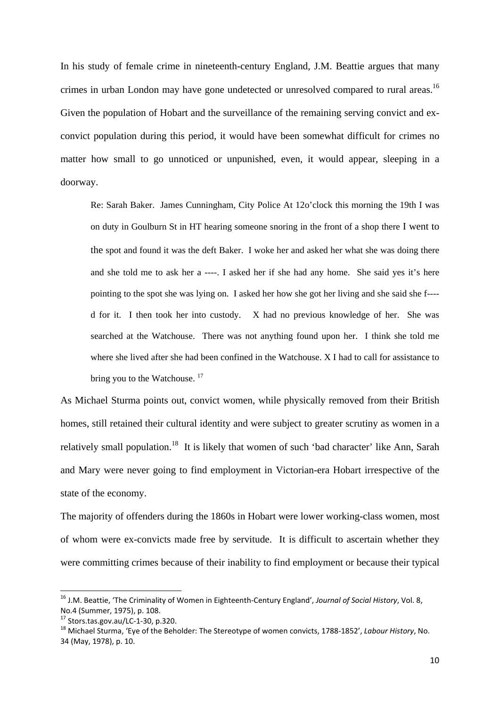In his study of female crime in nineteenth-century England, J.M. Beattie argues that many crimes in urban London may have gone undetected or unresolved compared to rural areas.<sup>16</sup> Given the population of Hobart and the surveillance of the remaining serving convict and exconvict population during this period, it would have been somewhat difficult for crimes no matter how small to go unnoticed or unpunished, even, it would appear, sleeping in a doorway.

Re: Sarah Baker. James Cunningham, City Police At 12o'clock this morning the 19th I was on duty in Goulburn St in HT hearing someone snoring in the front of a shop there I went to the spot and found it was the deft Baker. I woke her and asked her what she was doing there and she told me to ask her a ----. I asked her if she had any home. She said yes it's here pointing to the spot she was lying on. I asked her how she got her living and she said she f--- d for it. I then took her into custody. X had no previous knowledge of her. She was searched at the Watchouse. There was not anything found upon her. I think she told me where she lived after she had been confined in the Watchouse. X I had to call for assistance to bring you to the Watchouse.<sup>17</sup>

As Michael Sturma points out, convict women, while physically removed from their British homes, still retained their cultural identity and were subject to greater scrutiny as women in a relatively small population.<sup>18</sup> It is likely that women of such 'bad character' like Ann, Sarah and Mary were never going to find employment in Victorian-era Hobart irrespective of the state of the economy.

The majority of offenders during the 1860s in Hobart were lower working-class women, most of whom were ex-convicts made free by servitude. It is difficult to ascertain whether they were committing crimes because of their inability to find employment or because their typical

<sup>16</sup> J.M. Beattie, 'The Criminality of Women in Eighteenth‐Century England', *Journal of Social History*, Vol. 8, No.4 (Summer, 1975), p. 108.<br><sup>17</sup> Stors.tas.gov.au/LC-1-30, p.320.<br><sup>18</sup> Michael Sturma, 'Eye of the Beholder: The Stereotype of women convicts, 1788-1852', *Labour History*, No.

<sup>34</sup> (May, 1978), p. 10.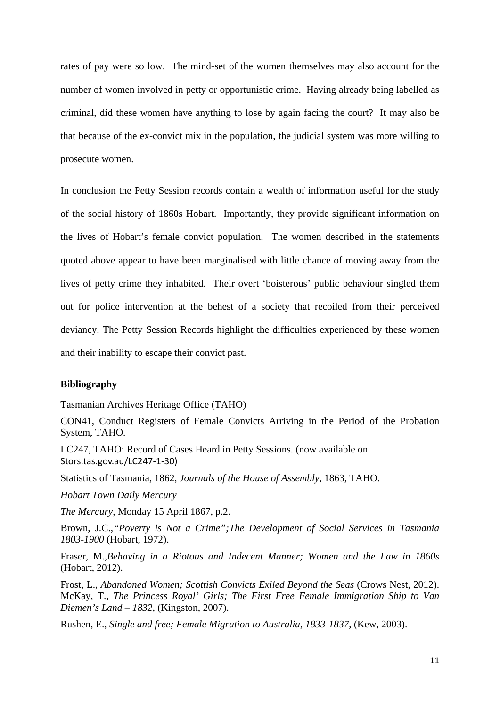rates of pay were so low. The mind-set of the women themselves may also account for the number of women involved in petty or opportunistic crime. Having already being labelled as criminal, did these women have anything to lose by again facing the court? It may also be that because of the ex-convict mix in the population, the judicial system was more willing to prosecute women.

In conclusion the Petty Session records contain a wealth of information useful for the study of the social history of 1860s Hobart. Importantly, they provide significant information on the lives of Hobart's female convict population. The women described in the statements quoted above appear to have been marginalised with little chance of moving away from the lives of petty crime they inhabited. Their overt 'boisterous' public behaviour singled them out for police intervention at the behest of a society that recoiled from their perceived deviancy. The Petty Session Records highlight the difficulties experienced by these women and their inability to escape their convict past.

### **Bibliography**

Tasmanian Archives Heritage Office (TAHO)

CON41, Conduct Registers of Female Convicts Arriving in the Period of the Probation System, TAHO.

LC247, TAHO: Record of Cases Heard in Petty Sessions. (now available on Stors.tas.gov.au/LC247‐1‐30)

Statistics of Tasmania, 1862, *Journals of the House of Assembly*, 1863, TAHO.

*Hobart Town Daily Mercury*

*The Mercury*, Monday 15 April 1867, p.2.

Brown, J.C.,*"Poverty is Not a Crime";The Development of Social Services in Tasmania 1803-1900* (Hobart, 1972).

Fraser, M.,*Behaving in a Riotous and Indecent Manner; Women and the Law in 1860s* (Hobart, 2012).

Frost, L., *Abandoned Women; Scottish Convicts Exiled Beyond the Seas* (Crows Nest, 2012). McKay, T., *The Princess Royal' Girls; The First Free Female Immigration Ship to Van Diemen's Land – 1832*, (Kingston, 2007).

Rushen, E., *Single and free; Female Migration to Australia, 1833-1837*, (Kew, 2003).